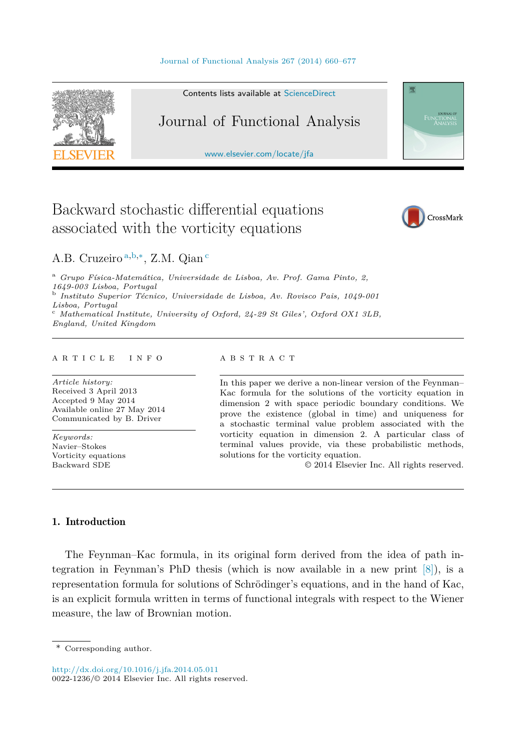

Contents lists available at [ScienceDirect](http://www.ScienceDirect.com/)

# Journal of Functional Analysis

[www.elsevier.com/locate/jfa](http://www.elsevier.com/locate/jfa)

# Backward stochastic differential equations associated with the vorticity equations



**FUNCTIONA** 

震

A.B. Cruzeiro <sup>a</sup>*,*b*,*∗, Z.M. Qian <sup>c</sup>

<sup>a</sup> *Grupo Física-Matemática, Universidade de Lisboa, Av. Prof. Gama Pinto, 2, 1649-003 Lisboa, Portugal* <sup>b</sup> *Instituto Superior Técnico, Universidade de Lisboa, Av. Rovisco Pais, 1049-001 Lisboa, Portugal* <sup>c</sup> *Mathematical Institute, University of Oxford, 24-29 St Giles', Oxford OX1 3LB, England, United Kingdom*

#### article info abstract

*Article history:* Received 3 April 2013 Accepted 9 May 2014 Available online 27 May 2014 Communicated by B. Driver

*Keywords:* Navier–Stokes Vorticity equations Backward SDE

In this paper we derive a non-linear version of the Feynman– Kac formula for the solutions of the vorticity equation in dimension 2 with space periodic boundary conditions. We prove the existence (global in time) and uniqueness for a stochastic terminal value problem associated with the vorticity equation in dimension 2. A particular class of terminal values provide, via these probabilistic methods, solutions for the vorticity equation.

© 2014 Elsevier Inc. All rights reserved.

# 1. Introduction

The Feynman–Kac formula, in its original form derived from the idea of path integration in Feynman's PhD thesis (which is now available in a new print [\[8\]\)](#page-17-0), is a representation formula for solutions of Schrödinger's equations, and in the hand of Kac, is an explicit formula written in terms of functional integrals with respect to the Wiener measure, the law of Brownian motion.

<http://dx.doi.org/10.1016/j.jfa.2014.05.011> 0022-1236/© 2014 Elsevier Inc. All rights reserved.

<sup>\*</sup> Corresponding author.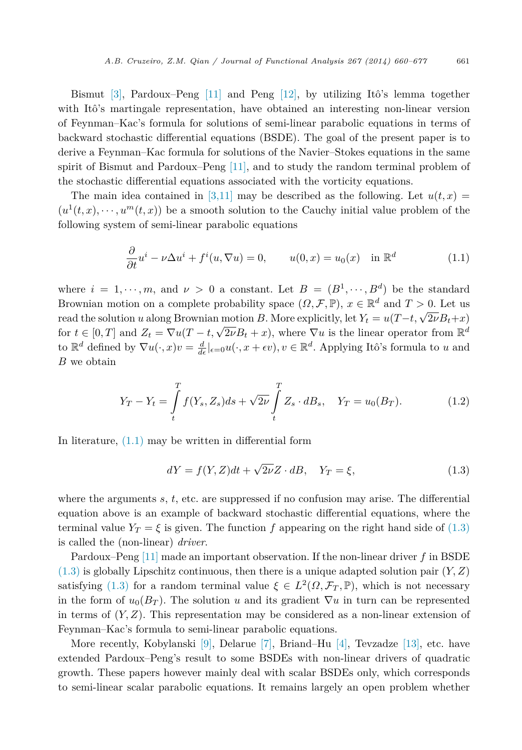Bismut [\[3\],](#page-16-0) Pardoux–Peng [\[11\]](#page-17-0) and Peng [\[12\],](#page-17-0) by utilizing Itô's lemma together with Itô's martingale representation, have obtained an interesting non-linear version of Feynman–Kac's formula for solutions of semi-linear parabolic equations in terms of backward stochastic differential equations (BSDE). The goal of the present paper is to derive a Feynman–Kac formula for solutions of the Navier–Stokes equations in the same spirit of Bismut and Pardoux–Peng [\[11\],](#page-17-0) and to study the random terminal problem of the stochastic differential equations associated with the vorticity equations.

The main idea contained in [\[3,11\]](#page-16-0) may be described as the following. Let  $u(t, x) =$  $(u^1(t,x),\dots, u^m(t,x))$  be a smooth solution to the Cauchy initial value problem of the following system of semi-linear parabolic equations

$$
\frac{\partial}{\partial t}u^{i} - \nu \Delta u^{i} + f^{i}(u, \nabla u) = 0, \qquad u(0, x) = u_{0}(x) \quad \text{in } \mathbb{R}^{d}
$$
\n(1.1)

where  $i = 1, \dots, m$ , and  $\nu > 0$  a constant. Let  $B = (B^1, \dots, B^d)$  be the standard Brownian motion on a complete probability space  $(\Omega, \mathcal{F}, \mathbb{P})$ ,  $x \in \mathbb{R}^d$  and  $T > 0$ . Let us read the solution *u* along Brownian motion *B*. More explicitly, let  $Y_t = u(T-t, \sqrt{2\nu}B_t + x)$ for  $t \in [0, T]$  and  $Z_t = \nabla u(T - t, \sqrt{2\nu}B_t + x)$ , where  $\nabla u$  is the linear operator from  $\mathbb{R}^d$ to  $\mathbb{R}^d$  defined by  $\nabla u(\cdot, x)v = \frac{d}{d\epsilon}|_{\epsilon=0}u(\cdot, x+\epsilon v), v \in \mathbb{R}^d$ . Applying Itô's formula to *u* and *B* we obtain

$$
Y_T - Y_t = \int_t^T f(Y_s, Z_s)ds + \sqrt{2\nu} \int_t^T Z_s \cdot dB_s, \quad Y_T = u_0(B_T). \tag{1.2}
$$

In literature,  $(1.1)$  may be written in differential form

$$
dY = f(Y, Z)dt + \sqrt{2\nu}Z \cdot dB, \quad Y_T = \xi,
$$
\n(1.3)

where the arguments *s*, *t*, etc. are suppressed if no confusion may arise. The differential equation above is an example of backward stochastic differential equations, where the terminal value  $Y_T = \xi$  is given. The function f appearing on the right hand side of (1.3) is called the (non-linear) *driver*.

Pardoux–Peng [\[11\]](#page-17-0) made an important observation. If the non-linear driver *f* in BSDE  $(1.3)$  is globally Lipschitz continuous, then there is a unique adapted solution pair  $(Y, Z)$ satisfying (1.3) for a random terminal value  $\xi \in L^2(\Omega, \mathcal{F}_T, \mathbb{P})$ , which is not necessary in the form of  $u_0(B_T)$ . The solution *u* and its gradient  $\nabla u$  in turn can be represented in terms of  $(Y, Z)$ . This representation may be considered as a non-linear extension of Feynman–Kac's formula to semi-linear parabolic equations.

More recently, Kobylanski [\[9\],](#page-17-0) Delarue [\[7\],](#page-17-0) Briand–Hu [\[4\],](#page-16-0) Tevzadze [\[13\],](#page-17-0) etc. have extended Pardoux–Peng's result to some BSDEs with non-linear drivers of quadratic growth. These papers however mainly deal with scalar BSDEs only, which corresponds to semi-linear scalar parabolic equations. It remains largely an open problem whether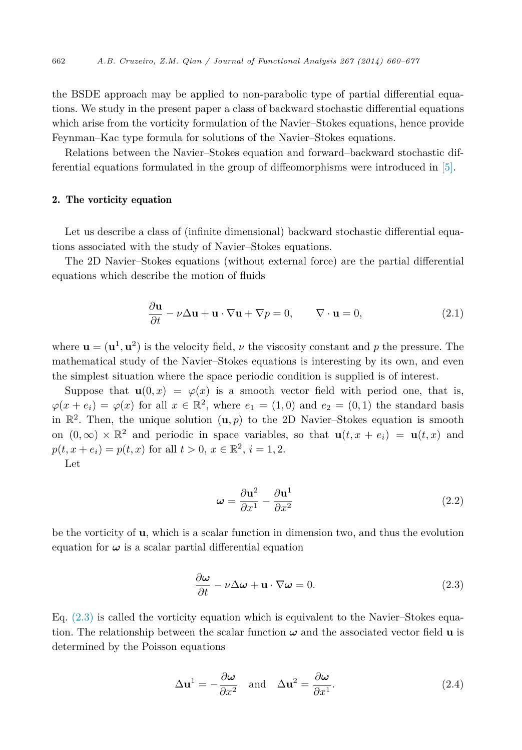<span id="page-2-0"></span>the BSDE approach may be applied to non-parabolic type of partial differential equations. We study in the present paper a class of backward stochastic differential equations which arise from the vorticity formulation of the Navier–Stokes equations, hence provide Feynman–Kac type formula for solutions of the Navier–Stokes equations.

Relations between the Navier–Stokes equation and forward–backward stochastic differential equations formulated in the group of diffeomorphisms were introduced in [\[5\].](#page-16-0)

### 2. The vorticity equation

Let us describe a class of (infinite dimensional) backward stochastic differential equations associated with the study of Navier–Stokes equations.

The 2D Navier–Stokes equations (without external force) are the partial differential equations which describe the motion of fluids

$$
\frac{\partial \mathbf{u}}{\partial t} - \nu \Delta \mathbf{u} + \mathbf{u} \cdot \nabla \mathbf{u} + \nabla p = 0, \qquad \nabla \cdot \mathbf{u} = 0,
$$
\n(2.1)

where  $\mathbf{u} = (\mathbf{u}^1, \mathbf{u}^2)$  is the velocity field,  $\nu$  the viscosity constant and p the pressure. The mathematical study of the Navier–Stokes equations is interesting by its own, and even the simplest situation where the space periodic condition is supplied is of interest.

Suppose that  $\mathbf{u}(0,x) = \varphi(x)$  is a smooth vector field with period one, that is,  $\varphi(x + e_i) = \varphi(x)$  for all  $x \in \mathbb{R}^2$ , where  $e_1 = (1,0)$  and  $e_2 = (0,1)$  the standard basis in  $\mathbb{R}^2$ . Then, the unique solution  $(\mathbf{u}, p)$  to the 2D Navier–Stokes equation is smooth on  $(0, \infty) \times \mathbb{R}^2$  and periodic in space variables, so that  $\mathbf{u}(t, x + e_i) = \mathbf{u}(t, x)$  and  $p(t, x + e_i) = p(t, x)$  for all  $t > 0, x \in \mathbb{R}^2, i = 1, 2$ .

Let

$$
\omega = \frac{\partial \mathbf{u}^2}{\partial x^1} - \frac{\partial \mathbf{u}^1}{\partial x^2}
$$
 (2.2)

be the vorticity of **u**, which is a scalar function in dimension two, and thus the evolution equation for  $\omega$  is a scalar partial differential equation

$$
\frac{\partial \omega}{\partial t} - \nu \Delta \omega + \mathbf{u} \cdot \nabla \omega = 0.
$$
 (2.3)

Eq.  $(2.3)$  is called the vorticity equation which is equivalent to the Navier–Stokes equation. The relationship between the scalar function  $\omega$  and the associated vector field **u** is determined by the Poisson equations

$$
\Delta \mathbf{u}^1 = -\frac{\partial \omega}{\partial x^2} \quad \text{and} \quad \Delta \mathbf{u}^2 = \frac{\partial \omega}{\partial x^1}.
$$
 (2.4)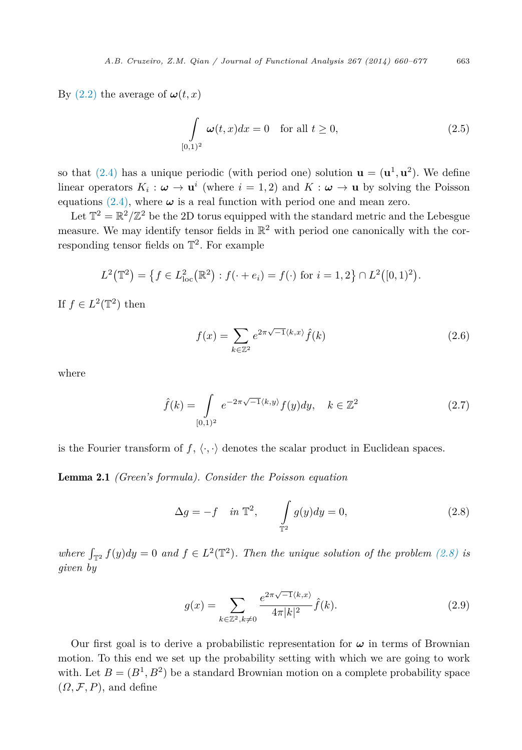<span id="page-3-0"></span>By  $(2.2)$  the average of  $\boldsymbol{\omega}(t, x)$ 

$$
\int_{[0,1)^2} \omega(t,x)dx = 0 \quad \text{for all } t \ge 0,
$$
\n(2.5)

so that [\(2.4\)](#page-2-0) has a unique periodic (with period one) solution  $\mathbf{u} = (\mathbf{u}^1, \mathbf{u}^2)$ . We define linear operators  $K_i : \omega \to \mathbf{u}^i$  (where  $i = 1, 2$ ) and  $K : \omega \to \mathbf{u}$  by solving the Poisson equations  $(2.4)$ , where  $\boldsymbol{\omega}$  is a real function with period one and mean zero.

Let  $\mathbb{T}^2 = \mathbb{R}^2/\mathbb{Z}^2$  be the 2D torus equipped with the standard metric and the Lebesgue measure. We may identify tensor fields in  $\mathbb{R}^2$  with period one canonically with the corresponding tensor fields on  $\mathbb{T}^2$ . For example

$$
L^{2}(\mathbb{T}^{2}) = \{ f \in L^{2}_{loc}(\mathbb{R}^{2}) : f(\cdot + e_{i}) = f(\cdot) \text{ for } i = 1, 2 \} \cap L^{2}([0, 1)^{2}).
$$

If  $f \in L^2(\mathbb{T}^2)$  then

$$
f(x) = \sum_{k \in \mathbb{Z}^2} e^{2\pi\sqrt{-1}\langle k, x \rangle} \hat{f}(k)
$$
 (2.6)

where

$$
\hat{f}(k) = \int_{[0,1)^2} e^{-2\pi\sqrt{-1}\langle k, y \rangle} f(y) dy, \quad k \in \mathbb{Z}^2
$$
\n(2.7)

is the Fourier transform of  $f, \langle \cdot, \cdot \rangle$  denotes the scalar product in Euclidean spaces.

Lemma 2.1 *(Green's formula). Consider the Poisson equation*

$$
\Delta g = -f \quad \text{in } \mathbb{T}^2, \qquad \int_{\mathbb{T}^2} g(y) dy = 0,\tag{2.8}
$$

*where*  $\int_{\mathbb{T}^2} f(y) dy = 0$  *and*  $f \in L^2(\mathbb{T}^2)$ *. Then the unique solution of the problem* (2.8) *is given by*

$$
g(x) = \sum_{k \in \mathbb{Z}^2, k \neq 0} \frac{e^{2\pi\sqrt{-1}\langle k, x \rangle}}{4\pi |k|^2} \hat{f}(k).
$$
 (2.9)

Our first goal is to derive a probabilistic representation for  $\omega$  in terms of Brownian motion. To this end we set up the probability setting with which we are going to work with. Let  $B = (B^1, B^2)$  be a standard Brownian motion on a complete probability space  $(\Omega, \mathcal{F}, P)$ , and define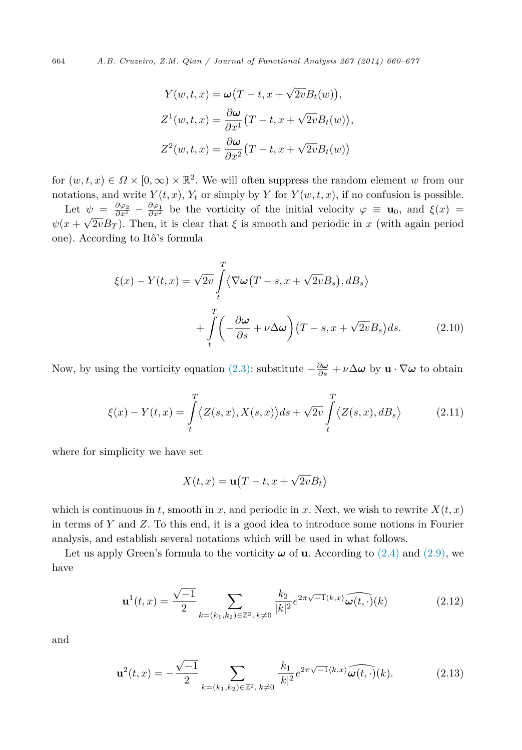$$
Y(w, t, x) = \omega (T - t, x + \sqrt{2v} B_t(w)),
$$
  
\n
$$
Z^1(w, t, x) = \frac{\partial \omega}{\partial x^1} (T - t, x + \sqrt{2v} B_t(w)),
$$
  
\n
$$
Z^2(w, t, x) = \frac{\partial \omega}{\partial x^2} (T - t, x + \sqrt{2v} B_t(w)).
$$

for  $(w, t, x) \in \Omega \times [0, \infty) \times \mathbb{R}^2$ . We will often suppress the random element *w* from our notations, and write  $Y(t, x)$ ,  $Y_t$  or simply by  $Y$  for  $Y(w, t, x)$ , if no confusion is possible.

Let  $\psi = \frac{\partial \varphi_2}{\partial x^1} - \frac{\partial \varphi_1}{\partial x^2}$  be the vorticity of the initial velocity  $\varphi \equiv \mathbf{u}_0$ , and  $\xi(x) =$  $\psi(x + \sqrt{2v}B_T)$ . Then, it is clear that *ξ* is smooth and periodic in *x* (with again period one). According to Itô's formula

$$
\xi(x) - Y(t, x) = \sqrt{2v} \int_{t}^{T} \langle \nabla \omega (T - s, x + \sqrt{2v} B_s), dB_s \rangle
$$

$$
+ \int_{t}^{T} \left( -\frac{\partial \omega}{\partial s} + \nu \Delta \omega \right) (T - s, x + \sqrt{2v} B_s) ds. \tag{2.10}
$$

Now, by using the vorticity equation [\(2.3\):](#page-2-0) substitute <sup>−</sup>*<sup>∂</sup><sup>ω</sup> ∂s* + *ν*Δ*ω* by **u** · ∇*ω* to obtain

$$
\xi(x) - Y(t, x) = \int_{t}^{T} \langle Z(s, x), X(s, x) \rangle ds + \sqrt{2v} \int_{t}^{T} \langle Z(s, x), dB_s \rangle \tag{2.11}
$$

where for simplicity we have set

$$
X(t,x) = \mathbf{u}(T-t, x + \sqrt{2v}B_t)
$$

which is continuous in *t*, smooth in *x*, and periodic in *x*. Next, we wish to rewrite  $X(t, x)$ in terms of *Y* and *Z*. To this end, it is a good idea to introduce some notions in Fourier analysis, and establish several notations which will be used in what follows.

Let us apply Green's formula to the vorticity  $\omega$  of **u**. According to [\(2.4\)](#page-2-0) and [\(2.9\),](#page-3-0) we have

$$
\mathbf{u}^{1}(t,x) = \frac{\sqrt{-1}}{2} \sum_{k=(k_{1},k_{2}) \in \mathbb{Z}^{2}, k \neq 0} \frac{k_{2}}{|k|^{2}} e^{2\pi\sqrt{-1}\langle k,x \rangle} \widehat{\boldsymbol{\omega}(t,\cdot)}(k)
$$
(2.12)

and

$$
\mathbf{u}^{2}(t,x) = -\frac{\sqrt{-1}}{2} \sum_{k=(k_{1},k_{2})\in\mathbb{Z}^{2}, k\neq 0} \frac{k_{1}}{|k|^{2}} e^{2\pi\sqrt{-1}\langle k,x\rangle} \widehat{\omega(t,\cdot)}(k).
$$
 (2.13)

<span id="page-4-0"></span>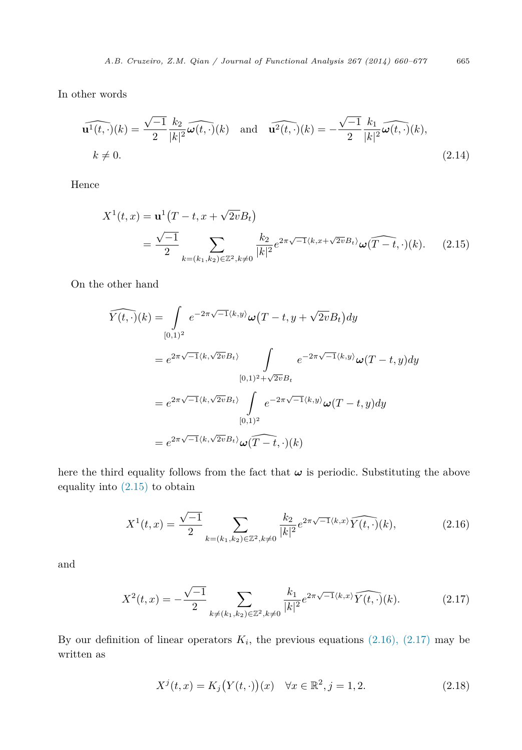<span id="page-5-0"></span>In other words

$$
\widehat{\mathbf{u}^{1}(t,\cdot)}(k) = \frac{\sqrt{-1}}{2} \frac{k_{2}}{|k|^{2}} \widehat{\omega(t,\cdot)}(k) \quad \text{and} \quad \widehat{\mathbf{u}^{2}(t,\cdot)}(k) = -\frac{\sqrt{-1}}{2} \frac{k_{1}}{|k|^{2}} \widehat{\omega(t,\cdot)}(k),
$$
\n
$$
k \neq 0.
$$
\n(2.14)

Hence

$$
X^{1}(t,x) = \mathbf{u}^{1}(T-t,x+\sqrt{2v}B_{t})
$$
  
= 
$$
\frac{\sqrt{-1}}{2} \sum_{k=(k_{1},k_{2})\in\mathbb{Z}^{2}, k\neq 0} \frac{k_{2}}{|k|^{2}} e^{2\pi\sqrt{-1}\langle k,x+\sqrt{2v}B_{t}\rangle} \omega(\widehat{T-t},\cdot)(k).
$$
 (2.15)

On the other hand

$$
\widehat{Y(t,\cdot)}(k) = \int_{[0,1)^2} e^{-2\pi\sqrt{-1}\langle k,y\rangle} \omega\big(T-t,y+\sqrt{2v}B_t\big) dy
$$
  
\n
$$
= e^{2\pi\sqrt{-1}\langle k,\sqrt{2v}B_t\rangle} \int_{[0,1)^2 + \sqrt{2v}B_t} e^{-2\pi\sqrt{-1}\langle k,y\rangle} \omega\big(T-t,y\big) dy
$$
  
\n
$$
= e^{2\pi\sqrt{-1}\langle k,\sqrt{2v}B_t\rangle} \int_{[0,1)^2} e^{-2\pi\sqrt{-1}\langle k,y\rangle} \omega\big(T-t,y\big) dy
$$
  
\n
$$
= e^{2\pi\sqrt{-1}\langle k,\sqrt{2v}B_t\rangle} \omega\big(\widehat{T-t},\cdot\big)(k)
$$

here the third equality follows from the fact that  $\omega$  is periodic. Substituting the above equality into (2.15) to obtain

$$
X^{1}(t,x) = \frac{\sqrt{-1}}{2} \sum_{k=(k_{1},k_{2}) \in \mathbb{Z}^{2}, k \neq 0} \frac{k_{2}}{|k|^{2}} e^{2\pi\sqrt{-1}\langle k,x\rangle} \widehat{Y(t,\cdot)}(k), \qquad (2.16)
$$

and

$$
X^{2}(t,x) = -\frac{\sqrt{-1}}{2} \sum_{k \neq (k_{1},k_{2}) \in \mathbb{Z}^{2}, k \neq 0} \frac{k_{1}}{|k|^{2}} e^{2\pi\sqrt{-1}\langle k,x\rangle} \widehat{Y(t,\cdot)}(k).
$$
 (2.17)

By our definition of linear operators  $K_i$ , the previous equations  $(2.16)$ ,  $(2.17)$  may be written as

$$
X^{j}(t,x) = K_{j}(Y(t,\cdot))(x) \quad \forall x \in \mathbb{R}^{2}, j = 1, 2.
$$
 (2.18)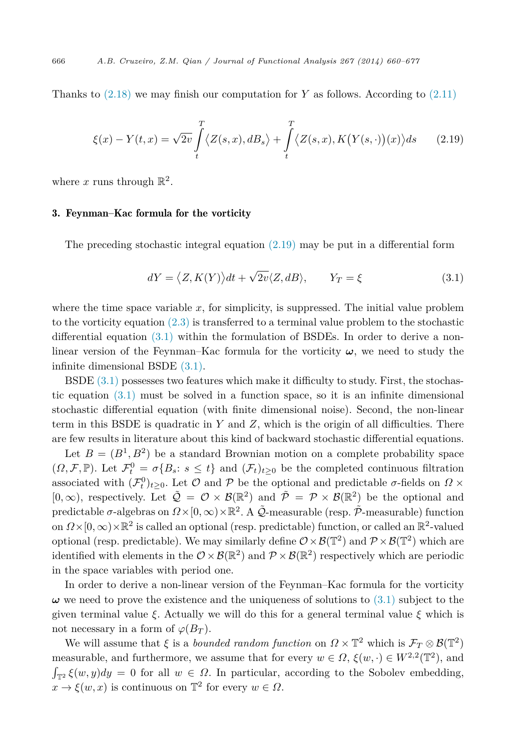Thanks to [\(2.18\)](#page-5-0) we may finish our computation for *Y* as follows. According to [\(2.11\)](#page-4-0)

$$
\xi(x) - Y(t, x) = \sqrt{2v} \int_{t}^{T} \langle Z(s, x), dB_s \rangle + \int_{t}^{T} \langle Z(s, x), K(Y(s, \cdot))(x) \rangle ds \qquad (2.19)
$$

where x runs through  $\mathbb{R}^2$ .

# 3. Feynman–Kac formula for the vorticity

The preceding stochastic integral equation (2.19) may be put in a differential form

$$
dY = \langle Z, K(Y) \rangle dt + \sqrt{2v} \langle Z, dB \rangle, \qquad Y_T = \xi \tag{3.1}
$$

where the time space variable  $x$ , for simplicity, is suppressed. The initial value problem to the vorticity equation [\(2.3\)](#page-2-0) is transferred to a terminal value problem to the stochastic differential equation (3.1) within the formulation of BSDEs. In order to derive a nonlinear version of the Feynman–Kac formula for the vorticity  $\omega$ , we need to study the infinite dimensional BSDE (3.1).

BSDE (3.1) possesses two features which make it difficulty to study. First, the stochastic equation  $(3.1)$  must be solved in a function space, so it is an infinite dimensional stochastic differential equation (with finite dimensional noise). Second, the non-linear term in this BSDE is quadratic in *Y* and *Z*, which is the origin of all difficulties. There are few results in literature about this kind of backward stochastic differential equations.

Let  $B = (B^1, B^2)$  be a standard Brownian motion on a complete probability space  $(\Omega, \mathcal{F}, \mathbb{P})$ . Let  $\mathcal{F}_t^0 = \sigma\{B_s: s \leq t\}$  and  $(\mathcal{F}_t)_{t \geq 0}$  be the completed continuous filtration associated with  $(\mathcal{F}^0_t)_{t\geq0}$ . Let  $\mathcal O$  and  $\mathcal P$  be the optional and predictable  $\sigma$ -fields on  $\Omega\times$  $[0,\infty)$ , respectively. Let  $\tilde{Q} = \mathcal{O} \times \mathcal{B}(\mathbb{R}^2)$  and  $\tilde{\mathcal{P}} = \mathcal{P} \times \mathcal{B}(\mathbb{R}^2)$  be the optional and predictable  $\sigma$ -algebras on  $\Omega \times [0, \infty) \times \mathbb{R}^2$ . A  $\tilde{Q}$ -measurable (resp.  $\tilde{P}$ -measurable) function on  $\Omega\times[0,\infty)\times\mathbb{R}^2$  is called an optional (resp. predictable) function, or called an  $\mathbb{R}^2$ -valued optional (resp. predictable). We may similarly define  $\mathcal{O} \times \mathcal{B}(\mathbb{T}^2)$  and  $\mathcal{P} \times \mathcal{B}(\mathbb{T}^2)$  which are identified with elements in the  $\mathcal{O}\times\mathcal{B}(\mathbb{R}^2)$  and  $\mathcal{P}\times\mathcal{B}(\mathbb{R}^2)$  respectively which are periodic in the space variables with period one.

In order to derive a non-linear version of the Feynman–Kac formula for the vorticity *ω* we need to prove the existence and the uniqueness of solutions to (3.1) subject to the given terminal value *ξ*. Actually we will do this for a general terminal value *ξ* which is not necessary in a form of  $\varphi(B_T)$ .

We will assume that *ξ* is a *bounded random function* on  $\Omega \times \mathbb{T}^2$  which is  $\mathcal{F}_T \otimes \mathcal{B}(\mathbb{T}^2)$ measurable, and furthermore, we assume that for every  $w \in \Omega$ ,  $\xi(w, \cdot) \in W^{2,2}(\mathbb{T}^2)$ , and  $\int_{\mathbb{T}^2} \xi(w,y) dy = 0$  for all  $w \in \Omega$ . In particular, according to the Sobolev embedding,  $\overline{x} \to \xi(w, x)$  is continuous on  $\mathbb{T}^2$  for every  $w \in \Omega$ .

<span id="page-6-0"></span>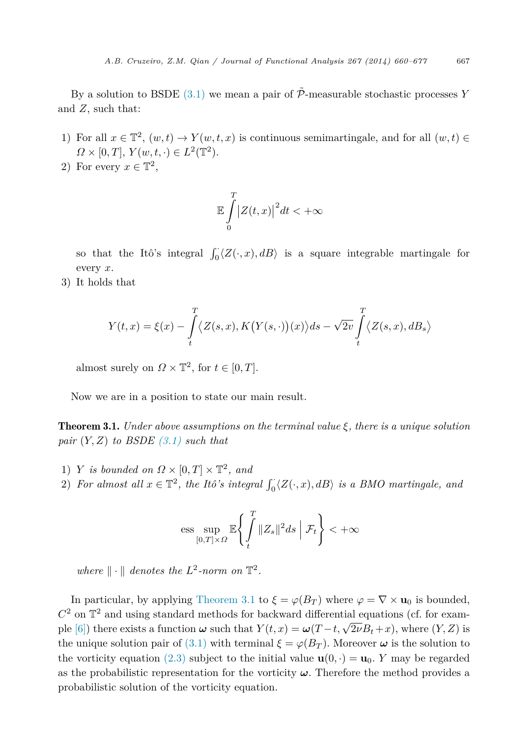<span id="page-7-0"></span>By a solution to BSDE  $(3.1)$  we mean a pair of  $\tilde{\mathcal{P}}$ -measurable stochastic processes Y and *Z*, such that:

- 1) For all  $x \in \mathbb{T}^2$ ,  $(w,t) \to Y(w,t,x)$  is continuous semimartingale, and for all  $(w,t) \in$  $Q \times [0, T], Y(w, t, \cdot) \in L^2(\mathbb{T}^2).$
- 2) For every  $x \in \mathbb{T}^2$ ,

$$
\mathbb{E}\int_{0}^{T}\bigl|Z(t,x)\bigr|^{2}dt<+\infty
$$

so that the Itô's integral  $\int_0^1 \langle Z(\cdot, x), dB \rangle$  is a square integrable martingale for every *x*.

3) It holds that

$$
Y(t,x) = \xi(x) - \int_{t}^{T} \langle Z(s,x), K(Y(s,\cdot))(x) \rangle ds - \sqrt{2v} \int_{t}^{T} \langle Z(s,x), dB_s \rangle
$$

almost surely on  $\Omega \times \mathbb{T}^2$ , for  $t \in [0, T]$ .

Now we are in a position to state our main result.

Theorem 3.1. *Under above assumptions on the terminal value ξ, there is a unique solution pair* (*Y,Z*) *to BSDE [\(3.1\)](#page-6-0) such that*

- 1) *Y is bounded on*  $\Omega \times [0, T] \times \mathbb{T}^2$ , and
- 2) For almost all  $x \in \mathbb{T}^2$ , the Itô's integral  $\int_0^{\cdot} \langle Z(\cdot, x), dB \rangle$  is a BMO martingale, and

$$
\text{ess}\sup_{[0,T]\times\varOmega}\mathbb{E}\Biggl\{\int\limits_t^T \|Z_s\|^2 ds\ \Big |\ \mathcal{F}_t\Biggr\}<+\infty
$$

*where*  $\|\cdot\|$  *denotes the*  $L^2$ *-norm on*  $\mathbb{T}^2$ *.* 

In particular, by applying Theorem 3.1 to  $\xi = \varphi(B_T)$  where  $\varphi = \nabla \times \mathbf{u}_0$  is bounded,  $C<sup>2</sup>$  on  $\mathbb{T}^{2}$  and using standard methods for backward differential equations (cf. for exam-ple [\[6\]\)](#page-16-0) there exists a function  $\omega$  such that  $Y(t, x) = \omega(T - t, \sqrt{2\nu}B_t + x)$ , where  $(Y, Z)$  is the unique solution pair of [\(3.1\)](#page-6-0) with terminal  $\xi = \varphi(B_T)$ . Moreover  $\omega$  is the solution to the vorticity equation [\(2.3\)](#page-2-0) subject to the initial value  $\mathbf{u}(0, \cdot) = \mathbf{u}_0$ . *Y* may be regarded as the probabilistic representation for the vorticity *ω*. Therefore the method provides a probabilistic solution of the vorticity equation.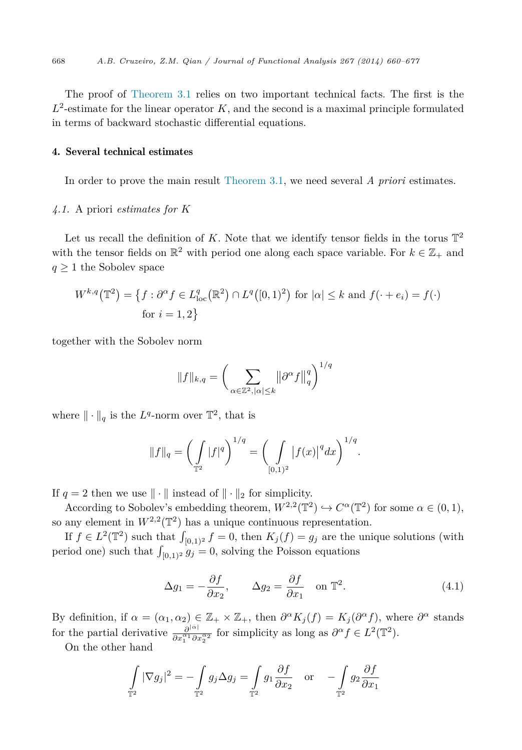The proof of [Theorem 3.1](#page-7-0) relies on two important technical facts. The first is the *L*<sup>2</sup>-estimate for the linear operator *K*, and the second is a maximal principle formulated in terms of backward stochastic differential equations.

# 4. Several technical estimates

In order to prove the main result [Theorem 3.1,](#page-7-0) we need several *A priori* estimates.

#### *4.1.* A priori *estimates for K*

Let us recall the definition of *K*. Note that we identify tensor fields in the torus  $\mathbb{T}^2$ with the tensor fields on  $\mathbb{R}^2$  with period one along each space variable. For  $k \in \mathbb{Z}_+$  and  $q \geq 1$  the Sobolev space

$$
W^{k,q}(\mathbb{T}^2) = \left\{ f : \partial^{\alpha} f \in L^q_{\text{loc}}(\mathbb{R}^2) \cap L^q([0,1)^2) \text{ for } |\alpha| \le k \text{ and } f(\cdot + e_i) = f(\cdot) \text{ for } i = 1,2 \right\}
$$

together with the Sobolev norm

$$
||f||_{k,q} = \bigg(\sum_{\alpha \in \mathbb{Z}^2, |\alpha| \le k} ||\partial^{\alpha} f||_q^q\bigg)^{1/q}
$$

where  $\|\cdot\|_q$  is the *L*<sup>q</sup>-norm over  $\mathbb{T}^2$ , that is

$$
||f||_q = \left(\int_{\mathbb{T}^2} |f|^q \right)^{1/q} = \left(\int_{[0,1)^2} |f(x)|^q dx \right)^{1/q}.
$$

If  $q = 2$  then we use  $\|\cdot\|$  instead of  $\|\cdot\|_2$  for simplicity.

According to Sobolev's embedding theorem,  $W^{2,2}(\mathbb{T}^2) \hookrightarrow C^{\alpha}(\mathbb{T}^2)$  for some  $\alpha \in (0,1)$ , so any element in  $W^{2,2}(\mathbb{T}^2)$  has a unique continuous representation.

If  $f \in L^2(\mathbb{T}^2)$  such that  $\int_{[0,1)^2} f = 0$ , then  $K_j(f) = g_j$  are the unique solutions (with period one) such that  $\int_{[0,1)^2} g_j = 0$ , solving the Poisson equations

$$
\Delta g_1 = -\frac{\partial f}{\partial x_2}, \qquad \Delta g_2 = \frac{\partial f}{\partial x_1} \quad \text{on } \mathbb{T}^2. \tag{4.1}
$$

By definition, if  $\alpha = (\alpha_1, \alpha_2) \in \mathbb{Z}_+ \times \mathbb{Z}_+$ , then  $\partial^{\alpha} K_j(f) = K_j(\partial^{\alpha} f)$ , where  $\partial^{\alpha}$  stands for the partial derivative  $\frac{\partial^{|\alpha|}}{\partial x_1^{\alpha_1} \partial x_2^{\alpha_2}}$  for simplicity as long as  $\partial^{\alpha} f \in L^2(\mathbb{T}^2)$ .

On the other hand

$$
\int_{\mathbb{T}^2} |\nabla g_j|^2 = -\int_{\mathbb{T}^2} g_j \Delta g_j = \int_{\mathbb{T}^2} g_1 \frac{\partial f}{\partial x_2} \quad \text{or} \quad -\int_{\mathbb{T}^2} g_2 \frac{\partial f}{\partial x_1}
$$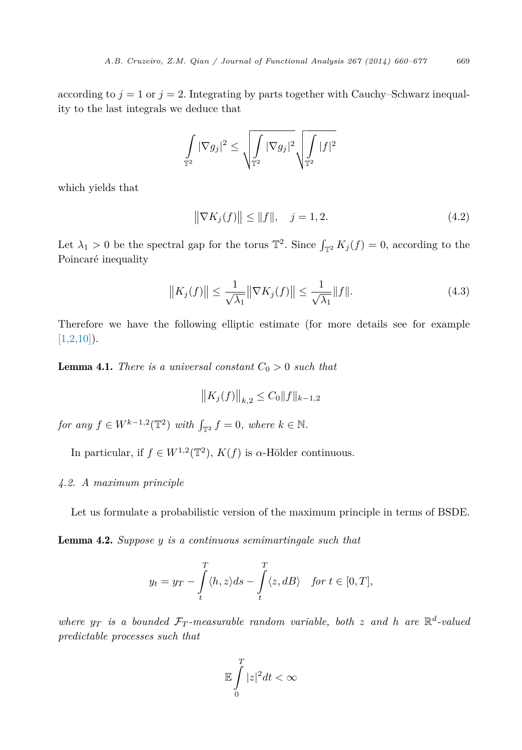according to  $j = 1$  or  $j = 2$ . Integrating by parts together with Cauchy–Schwarz inequality to the last integrals we deduce that

$$
\int_{\mathbb{T}^2} |\nabla g_j|^2 \leq \sqrt{\int_{\mathbb{T}^2} |\nabla g_j|^2} \sqrt{\int_{\mathbb{T}^2} |f|^2}
$$

which yields that

$$
\|\nabla K_j(f)\| \le \|f\|, \quad j = 1, 2. \tag{4.2}
$$

Let  $\lambda_1 > 0$  be the spectral gap for the torus  $\mathbb{T}^2$ . Since  $\int_{\mathbb{T}^2} K_j(f) = 0$ , according to the Poincaré inequality

$$
||K_j(f)|| \le \frac{1}{\sqrt{\lambda_1}} ||\nabla K_j(f)|| \le \frac{1}{\sqrt{\lambda_1}} ||f||. \tag{4.3}
$$

Therefore we have the following elliptic estimate (for more details see for example  $[1,2,10]$ ).

**Lemma 4.1.** *There is a universal constant*  $C_0 > 0$  *such that* 

$$
\left\|K_j(f)\right\|_{k,2} \le C_0 \|f\|_{k-1,2}
$$

*for any*  $f \in W^{k-1,2}(\mathbb{T}^2)$  *with*  $\int_{\mathbb{T}^2} f = 0$ *, where*  $k \in \mathbb{N}$ *.* 

In particular, if  $f \in W^{1,2}(\mathbb{T}^2)$ ,  $K(f)$  is  $\alpha$ -Hölder continuous.

#### *4.2. A maximum principle*

Let us formulate a probabilistic version of the maximum principle in terms of BSDE.

Lemma 4.2. *Suppose y is a continuous semimartingale such that*

$$
y_t = y_T - \int_t^T \langle h, z \rangle ds - \int_t^T \langle z, dB \rangle \quad \text{for } t \in [0, T],
$$

*where*  $y_T$  *is a bounded*  $\mathcal{F}_T$ -measurable random variable, both *z* and *h* are  $\mathbb{R}^d$ -valued *predictable processes such that*

$$
\mathbb{E}\int\limits_{0}^{T}|z|^{2}dt<\infty
$$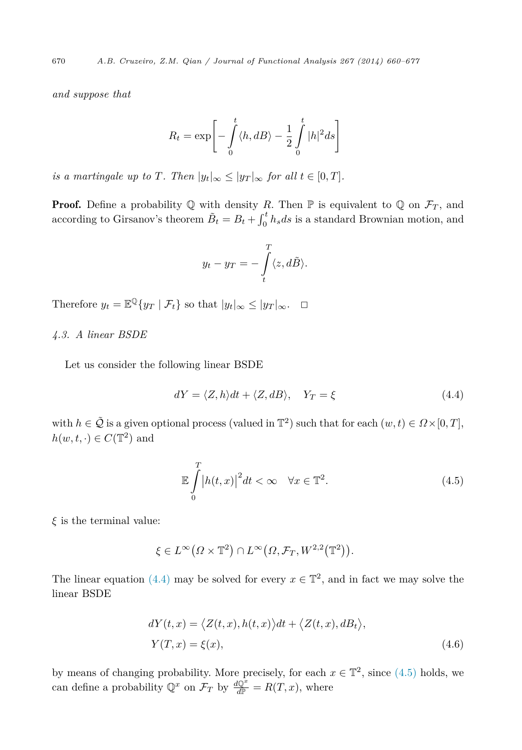*and suppose that*

$$
R_t = \exp\left[-\int\limits_0^t \langle h, dB \rangle - \frac{1}{2} \int\limits_0^t |h|^2 ds\right]
$$

*is a martingale up to T. Then*  $|y_t|_{\infty} \leq |y_T|_{\infty}$  *for all*  $t \in [0, T]$ *.* 

**Proof.** Define a probability  $\mathbb Q$  with density *R*. Then  $\mathbb P$  is equivalent to  $\mathbb Q$  on  $\mathcal F_T$ , and according to Girsanov's theorem  $\tilde{B}_t = B_t + \int_0^t h_s ds$  is a standard Brownian motion, and

$$
y_t - y_T = -\int\limits_t^T \langle z, d\tilde{B} \rangle.
$$

Therefore  $y_t = \mathbb{E}^{\mathbb{Q}}\{y_T \mid \mathcal{F}_t\}$  so that  $|y_t|_{\infty} \leq |y_T|_{\infty}$ .  $\Box$ 

# *4.3. A linear BSDE*

Let us consider the following linear BSDE

$$
dY = \langle Z, h \rangle dt + \langle Z, dB \rangle, \quad Y_T = \xi \tag{4.4}
$$

with  $h \in \tilde{Q}$  is a given optional process (valued in  $\mathbb{T}^2$ ) such that for each  $(w, t) \in \Omega \times [0, T]$ ,  $h(w, t, \cdot) \in C(\mathbb{T}^2)$  and

$$
\mathbb{E}\int_{0}^{T} \left|h(t,x)\right|^{2} dt < \infty \quad \forall x \in \mathbb{T}^{2}.
$$
\n(4.5)

*ξ* is the terminal value:

 $\xi \in L^{\infty}(\Omega \times \mathbb{T}^2) \cap L^{\infty}(\Omega, \mathcal{F}_T, W^{2,2}(\mathbb{T}^2)).$ 

The linear equation (4.4) may be solved for every  $x \in \mathbb{T}^2$ , and in fact we may solve the linear BSDE

$$
dY(t,x) = \langle Z(t,x), h(t,x) \rangle dt + \langle Z(t,x), dB_t \rangle,
$$
  
\n
$$
Y(T,x) = \xi(x),
$$
\n(4.6)

by means of changing probability. More precisely, for each  $x \in \mathbb{T}^2$ , since (4.5) holds, we can define a probability  $\mathbb{Q}^x$  on  $\mathcal{F}_T$  by  $\frac{d\mathbb{Q}^x}{d\mathbb{P}} = R(T, x)$ , where

<span id="page-10-0"></span>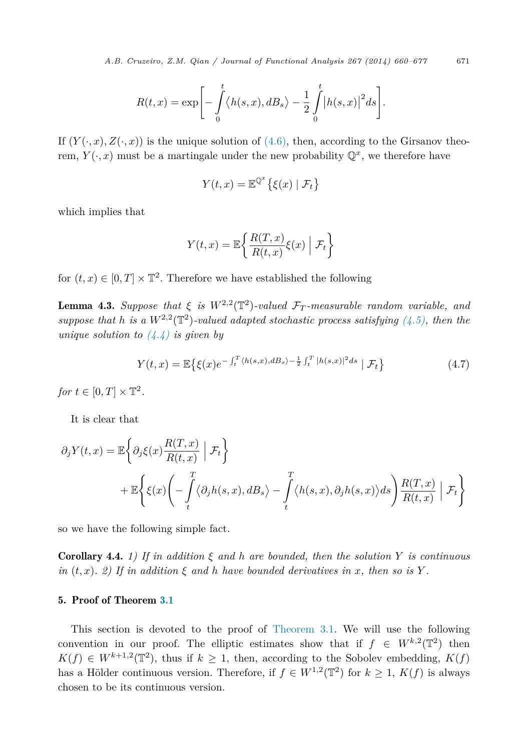<span id="page-11-0"></span>*A.B. Cruzeiro, Z.M. Qian / Journal of Functional Analysis 267 (2014) 660–677* 671

$$
R(t,x)=\exp\Biggl[-\int\limits_0^t \bigl\langle h(s,x),dB_s\bigr\rangle-\frac{1}{2}\int\limits_0^t \bigl|h(s,x)\bigr|^2ds\Biggr].
$$

If  $(Y(\cdot, x), Z(\cdot, x))$  is the unique solution of  $(4.6)$ , then, according to the Girsanov theorem,  $Y(\cdot, x)$  must be a martingale under the new probability  $\mathbb{Q}^x$ , we therefore have

$$
Y(t,x) = \mathbb{E}^{\mathbb{Q}^x} \{ \xi(x) \mid \mathcal{F}_t \}
$$

which implies that

$$
Y(t,x) = \mathbb{E}\left\{\frac{R(T,x)}{R(t,x)}\xi(x) \middle| \mathcal{F}_t\right\}
$$

for  $(t, x) \in [0, T] \times \mathbb{T}^2$ . Therefore we have established the following

**Lemma 4.3.** Suppose that  $\xi$  is  $W^{2,2}(\mathbb{T}^2)$ -valued  $\mathcal{F}_T$ -measurable random variable, and *suppose that h is a*  $W^{2,2}(\mathbb{T}^2)$ *-valued adapted stochastic process satisfying*  $(4.5)$ *, then the unique solution to [\(4.4\)](#page-10-0) is given by*

$$
Y(t,x) = \mathbb{E}\left\{\xi(x)e^{-\int_t^T \langle h(s,x), dB_s\rangle - \frac{1}{2}\int_t^T |h(s,x)|^2 ds} \mid \mathcal{F}_t\right\}
$$
(4.7)

*for*  $t \in [0, T] \times T^2$ .

It is clear that

$$
\partial_j Y(t, x) = \mathbb{E} \left\{ \partial_j \xi(x) \frac{R(T, x)}{R(t, x)} \middle| \mathcal{F}_t \right\} + \mathbb{E} \left\{ \xi(x) \left( - \int_t^T \langle \partial_j h(s, x), dB_s \rangle - \int_t^T \langle h(s, x), \partial_j h(s, x) \rangle ds \right) \frac{R(T, x)}{R(t, x)} \middle| \mathcal{F}_t \right\}
$$

so we have the following simple fact.

**Corollary 4.4.** *1)* If in addition  $\xi$  and  $h$  are bounded, then the solution Y is continuous *in*  $(t, x)$ , 2) If in addition  $\xi$  and  $h$  have bounded derivatives in x, then so is Y.

# 5. Proof of Theorem [3.1](#page-7-0)

This section is devoted to the proof of [Theorem 3.1.](#page-7-0) We will use the following convention in our proof. The elliptic estimates show that if  $f \in W^{k,2}(\mathbb{T}^2)$  then  $K(f) \in W^{k+1,2}(\mathbb{T}^2)$ , thus if  $k \geq 1$ , then, according to the Sobolev embedding,  $K(f)$ has a Hölder continuous version. Therefore, if  $f \in W^{1,2}(\mathbb{T}^2)$  for  $k \geq 1$ ,  $K(f)$  is always chosen to be its continuous version.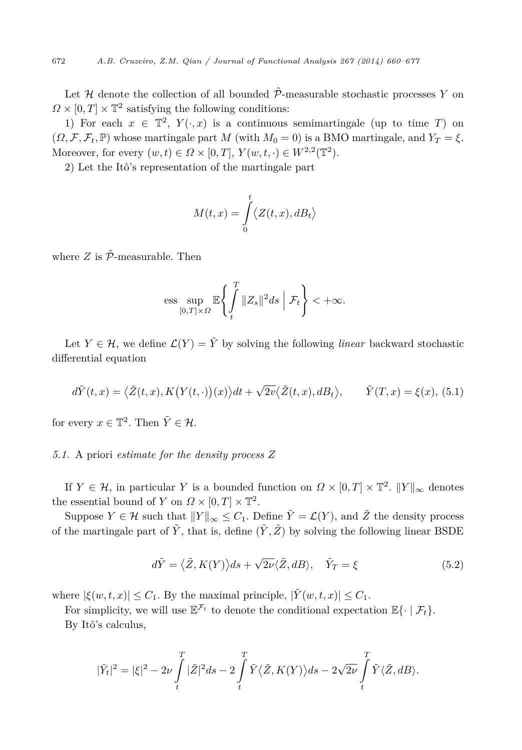Let  $\mathcal H$  denote the collection of all bounded  $\tilde{\mathcal P}$ -measurable stochastic processes *Y* on  $Q \times [0, T] \times \mathbb{T}^2$  satisfying the following conditions:

1) For each  $x \in \mathbb{T}^2$ ,  $Y(\cdot, x)$  is a continuous semimartingale (up to time *T*) on  $(\Omega, \mathcal{F}, \mathcal{F}_t, \mathbb{P})$  whose martingale part *M* (with  $M_0 = 0$ ) is a BMO martingale, and  $Y_T = \xi$ . Moreover, for every  $(w, t) \in \Omega \times [0, T]$ ,  $Y(w, t, \cdot) \in W^{2,2}(\mathbb{T}^2)$ .

2) Let the Itô's representation of the martingale part

$$
M(t,x) = \int_{0}^{t} \langle Z(t,x), dB_t \rangle
$$

where  $Z$  is  $\tilde{\mathcal{P}}$ -measurable. Then

$$
\text{ess}\sup_{[0,T]\times\varOmega}\mathbb{E}\Biggl\{\int\limits_t^T \|Z_s\|^2 ds\ \Big |\ \mathcal{F}_t\Biggr\}<+\infty.
$$

Let  $Y \in \mathcal{H}$ , we define  $\mathcal{L}(Y) = \tilde{Y}$  by solving the following *linear* backward stochastic differential equation

$$
d\tilde{Y}(t,x) = \langle \tilde{Z}(t,x), K(Y(t,\cdot))(x) \rangle dt + \sqrt{2v} \langle \tilde{Z}(t,x), dB_t \rangle, \qquad \tilde{Y}(T,x) = \xi(x), \tag{5.1}
$$

for every  $x \in \mathbb{T}^2$ . Then  $\tilde{Y} \in \mathcal{H}$ .

# *5.1.* A priori *estimate for the density process Z*

If  $Y \in \mathcal{H}$ , in particular *Y* is a bounded function on  $\Omega \times [0, T] \times \mathbb{T}^2$ .  $||Y||_{\infty}$  denotes the essential bound of *Y* on  $\Omega \times [0, T] \times \mathbb{T}^2$ .

Suppose  $Y \in \mathcal{H}$  such that  $||Y||_{\infty} \leq C_1$ . Define  $\tilde{Y} = \mathcal{L}(Y)$ , and  $\tilde{Z}$  the density process of the martingale part of  $\tilde{Y}$ , that is, define  $(\tilde{Y}, \tilde{Z})$  by solving the following linear BSDE

$$
d\tilde{Y} = \langle \tilde{Z}, K(Y) \rangle ds + \sqrt{2\nu} \langle \tilde{Z}, dB \rangle, \quad \tilde{Y}_T = \xi
$$
\n(5.2)

where  $|\xi(w, t, x)| \leq C_1$ . By the maximal principle,  $|\tilde{Y}(w, t, x)| \leq C_1$ .

For simplicity, we will use  $\mathbb{E}^{\mathcal{F}_t}$  to denote the conditional expectation  $\mathbb{E}\{\cdot | \mathcal{F}_t\}$ . By Itô's calculus,

$$
|\tilde{Y}_t|^2=|\xi|^2-2\nu\int\limits_t^T|\tilde{Z}|^2ds-2\int\limits_t^T\tilde{Y}\big\langle \tilde{Z},K(Y)\big\rangle ds-2\sqrt{2\nu}\int\limits_t^T\tilde{Y}\big\langle \tilde{Z},dB\big\rangle.
$$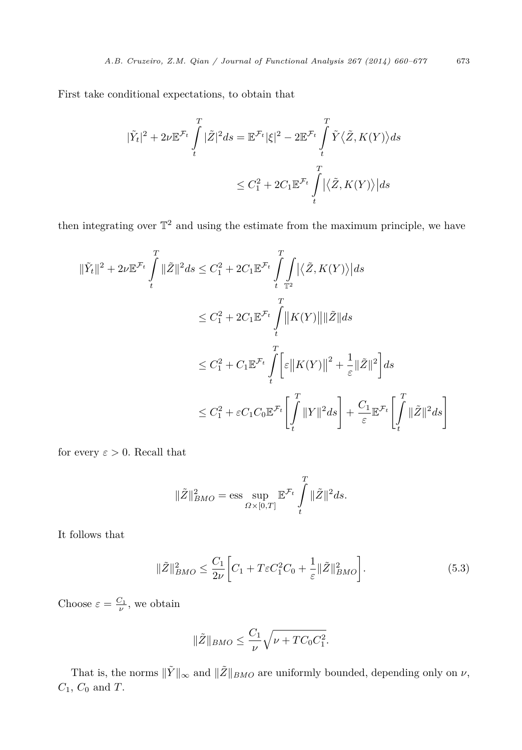First take conditional expectations, to obtain that

$$
\begin{aligned} |\tilde{Y}_t|^2 + 2\nu\mathbb{E}^{\mathcal{F}_t}\int\limits_t^T |\tilde{Z}|^2 ds &= \mathbb{E}^{\mathcal{F}_t}|\xi|^2 - 2\mathbb{E}^{\mathcal{F}_t}\int\limits_t^T \tilde{Y}\big\langle \tilde{Z}, K(Y)\big\rangle ds \\ & \leq C_1^2 + 2C_1\mathbb{E}^{\mathcal{F}_t}\int\limits_t^T \big|\big\langle \tilde{Z}, K(Y)\big\rangle\big| ds \end{aligned}
$$

then integrating over  $\mathbb{T}^2$  and using the estimate from the maximum principle, we have

$$
\begin{split} \|\tilde{Y}_t\|^2 + 2\nu \mathbb{E}^{\mathcal{F}_t} \int\limits_t^T \|\tilde{Z}\|^2 ds &\leq C_1^2 + 2C_1 \mathbb{E}^{\mathcal{F}_t} \int\limits_t^T \int\limits_{\mathbb{T}^2} \left| \left\langle \tilde{Z}, K(Y) \right\rangle \right| ds \\ &\leq C_1^2 + 2C_1 \mathbb{E}^{\mathcal{F}_t} \int\limits_t^T \left\| K(Y) \right\| \|\tilde{Z}\| ds \\ &\leq C_1^2 + C_1 \mathbb{E}^{\mathcal{F}_t} \int\limits_t^T \biggl[ \varepsilon \left\| K(Y) \right\|^2 + \frac{1}{\varepsilon} \|\tilde{Z}\|^2 \biggr] ds \\ &\leq C_1^2 + \varepsilon C_1 C_0 \mathbb{E}^{\mathcal{F}_t} \left[ \int\limits_t^T \|Y\|^2 ds \right] + \frac{C_1}{\varepsilon} \mathbb{E}^{\mathcal{F}_t} \left[ \int\limits_t^T \|\tilde{Z}\|^2 ds \right] \end{split}
$$

for every  $\varepsilon > 0$ . Recall that

$$
\|\tilde{Z}\|_{BMO}^2 = \text{ess} \sup_{\Omega \times [0,T]} \mathbb{E}^{\mathcal{F}_t} \int\limits_t^T \|\tilde{Z}\|^2 ds.
$$

It follows that

$$
\|\tilde{Z}\|_{BMO}^2 \le \frac{C_1}{2\nu} \bigg[ C_1 + T\varepsilon C_1^2 C_0 + \frac{1}{\varepsilon} \|\tilde{Z}\|_{BMO}^2 \bigg]. \tag{5.3}
$$

Choose  $\varepsilon = \frac{C_1}{\nu}$ , we obtain

$$
\|\tilde{Z}\|_{BMO} \le \frac{C_1}{\nu} \sqrt{\nu + TC_0C_1^2}.
$$

That is, the norms  $\|\tilde{Y}\|_{\infty}$  and  $\|\tilde{Z}\|_{BMO}$  are uniformly bounded, depending only on  $\nu,$ *C*1, *C*<sup>0</sup> and *T*.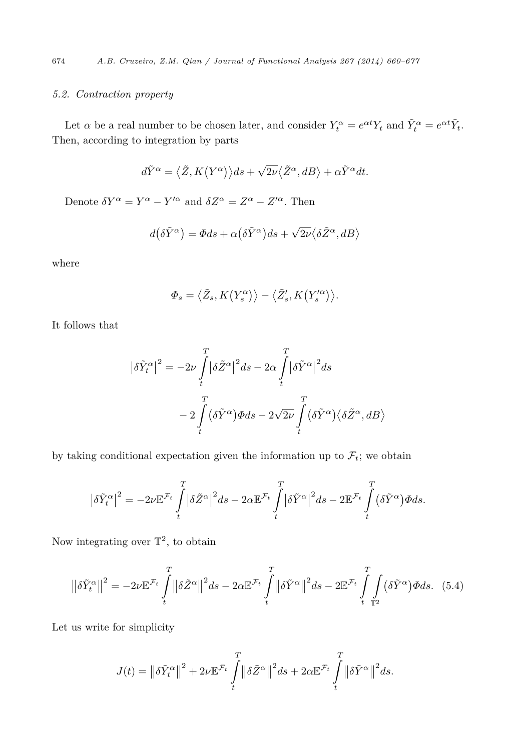# <span id="page-14-0"></span>*5.2. Contraction property*

Let  $\alpha$  be a real number to be chosen later, and consider  $Y_t^{\alpha} = e^{\alpha t} Y_t$  and  $\tilde{Y}_t^{\alpha} = e^{\alpha t} \tilde{Y}_t$ . Then, according to integration by parts

$$
d\tilde{Y}^{\alpha} = \langle \tilde{Z}, K(Y^{\alpha}) \rangle ds + \sqrt{2\nu} \langle \tilde{Z}^{\alpha}, dB \rangle + \alpha \tilde{Y}^{\alpha} dt.
$$

Denote  $\delta Y^{\alpha} = Y^{\alpha} - Y'^{\alpha}$  and  $\delta Z^{\alpha} = Z^{\alpha} - Z'^{\alpha}$ . Then

$$
d(\delta \tilde{Y}^\alpha) = \Phi ds + \alpha (\delta \tilde{Y}^\alpha) ds + \sqrt{2\nu} \langle \delta \tilde{Z}^\alpha, dB \rangle
$$

where

$$
\Phi_s = \langle \tilde{Z}_s, K(Y_s^{\alpha}) \rangle - \langle \tilde{Z}'_s, K(Y_s'^{\alpha}) \rangle.
$$

It follows that

$$
\left|\delta\tilde{Y}_{t}^{\alpha}\right|^{2} = -2\nu \int_{t}^{T} \left|\delta\tilde{Z}^{\alpha}\right|^{2} ds - 2\alpha \int_{t}^{T} \left|\delta\tilde{Y}^{\alpha}\right|^{2} ds
$$

$$
-2 \int_{t}^{T} (\delta\tilde{Y}^{\alpha}) \Phi ds - 2\sqrt{2\nu} \int_{t}^{T} (\delta\tilde{Y}^{\alpha}) \langle \delta\tilde{Z}^{\alpha}, dB \rangle
$$

by taking conditional expectation given the information up to  $\mathcal{F}_t$ ; we obtain

$$
\left|\delta\tilde{Y}_{t}^{\alpha}\right|^{2}=-2\nu\mathbb{E}^{\mathcal{F}_{t}}\int\limits_{t}^{T}\left|\delta\tilde{Z}^{\alpha}\right|^{2}ds-2\alpha\mathbb{E}^{\mathcal{F}_{t}}\int\limits_{t}^{T}\left|\delta\tilde{Y}^{\alpha}\right|^{2}ds-2\mathbb{E}^{\mathcal{F}_{t}}\int\limits_{t}^{T}\left(\delta\tilde{Y}^{\alpha}\right)\Phi ds.
$$

Now integrating over  $\mathbb{T}^2$ , to obtain

$$
\left\|\delta\tilde{Y}_{t}^{\alpha}\right\|^{2} = -2\nu\mathbb{E}^{\mathcal{F}_{t}}\int\limits_{t}^{T}\left\|\delta\tilde{Z}^{\alpha}\right\|^{2}ds - 2\alpha\mathbb{E}^{\mathcal{F}_{t}}\int\limits_{t}^{T}\left\|\delta\tilde{Y}^{\alpha}\right\|^{2}ds - 2\mathbb{E}^{\mathcal{F}_{t}}\int\limits_{t}^{T}\int\limits_{\mathbb{T}^{2}}\left(\delta\tilde{Y}^{\alpha}\right)\Phi ds. \tag{5.4}
$$

Let us write for simplicity

$$
J(t) = \left\| \delta \tilde{Y}_t^{\alpha} \right\|^2 + 2\nu \mathbb{E}^{\mathcal{F}_t} \int_t^T \left\| \delta \tilde{Z}^{\alpha} \right\|^2 ds + 2\alpha \mathbb{E}^{\mathcal{F}_t} \int_t^T \left\| \delta \tilde{Y}^{\alpha} \right\|^2 ds.
$$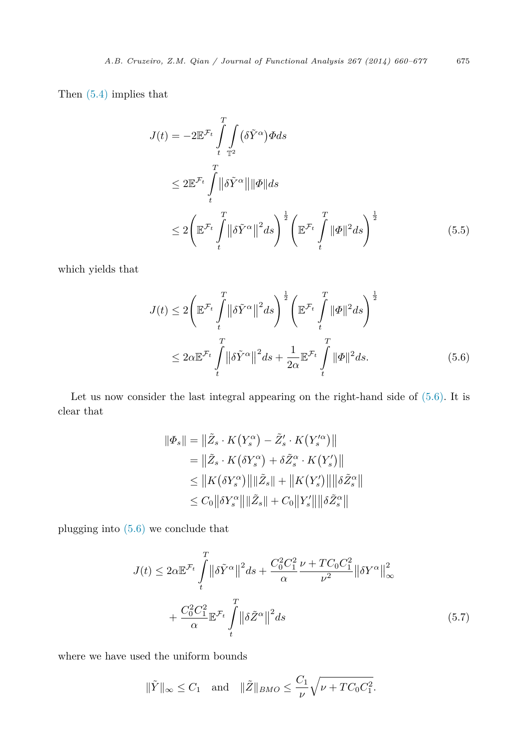<span id="page-15-0"></span>Then [\(5.4\)](#page-14-0) implies that

$$
J(t) = -2\mathbb{E}^{\mathcal{F}_t} \int_{t}^{T} \int_{\mathbb{T}^2} (\delta \tilde{Y}^{\alpha}) \Phi ds
$$
  
\n
$$
\leq 2\mathbb{E}^{\mathcal{F}_t} \int_{t}^{T} \|\delta \tilde{Y}^{\alpha}\| \|\Phi\| ds
$$
  
\n
$$
\leq 2\left(\mathbb{E}^{\mathcal{F}_t} \int_{t}^{T} \|\delta \tilde{Y}^{\alpha}\|^{2} ds\right)^{\frac{1}{2}} \left(\mathbb{E}^{\mathcal{F}_t} \int_{t}^{T} \|\Phi\|^{2} ds\right)^{\frac{1}{2}}
$$
(5.5)

which yields that

$$
J(t) \le 2 \left( \mathbb{E}^{\mathcal{F}_t} \int_t^T \left\| \delta \tilde{Y}^{\alpha} \right\|^2 ds \right)^{\frac{1}{2}} \left( \mathbb{E}^{\mathcal{F}_t} \int_t^T \|\Phi\|^2 ds \right)^{\frac{1}{2}}
$$
  

$$
\le 2\alpha \mathbb{E}^{\mathcal{F}_t} \int_t^T \left\| \delta \tilde{Y}^{\alpha} \right\|^2 ds + \frac{1}{2\alpha} \mathbb{E}^{\mathcal{F}_t} \int_t^T \|\Phi\|^2 ds. \tag{5.6}
$$

Let us now consider the last integral appearing on the right-hand side of  $(5.6)$ . It is clear that

$$
\|\Phi_s\| = \|\tilde{Z}_s \cdot K(Y_s^{\alpha}) - \tilde{Z}'_s \cdot K(Y_s'^{\alpha})\|
$$
  
\n
$$
= \|\tilde{Z}_s \cdot K(\delta Y_s^{\alpha}) + \delta \tilde{Z}_s^{\alpha} \cdot K(Y_s')\|
$$
  
\n
$$
\leq \|K(\delta Y_s^{\alpha})\| \|\tilde{Z}_s\| + \|K(Y_s')\| \|\delta \tilde{Z}_s^{\alpha}\|
$$
  
\n
$$
\leq C_0 \|\delta Y_s^{\alpha}\| \|\tilde{Z}_s\| + C_0 \|Y_s'\| \|\delta \tilde{Z}_s^{\alpha}\|
$$

plugging into (5.6) we conclude that

$$
J(t) \le 2\alpha \mathbb{E}^{\mathcal{F}_t} \int_{t}^{T} \left\| \delta \tilde{Y}^{\alpha} \right\|^{2} ds + \frac{C_{0}^{2} C_{1}^{2}}{\alpha} \frac{\nu + TC_{0} C_{1}^{2}}{\nu^{2}} \left\| \delta Y^{\alpha} \right\|_{\infty}^{2} + \frac{C_{0}^{2} C_{1}^{2}}{\alpha} \mathbb{E}^{\mathcal{F}_t} \int_{t}^{T} \left\| \delta \tilde{Z}^{\alpha} \right\|^{2} ds
$$
\n(5.7)

where we have used the uniform bounds

$$
\|\tilde{Y}\|_{\infty} \le C_1 \quad \text{and} \quad \|\tilde{Z}\|_{BMO} \le \frac{C_1}{\nu} \sqrt{\nu + TC_0C_1^2}.
$$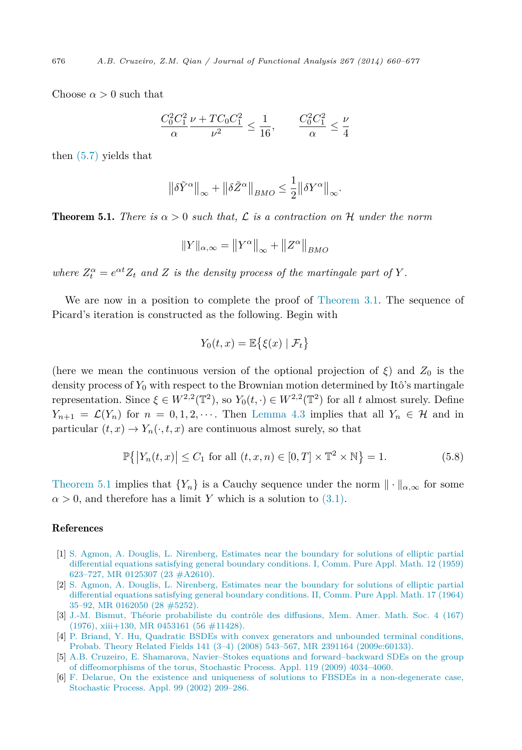Choose  $\alpha > 0$  such that

$$
\frac{C_0^2 C_1^2}{\alpha} \frac{\nu + TC_0 C_1^2}{\nu^2} \le \frac{1}{16}, \qquad \frac{C_0^2 C_1^2}{\alpha} \le \frac{\nu}{4}
$$

then [\(5.7\)](#page-15-0) yields that

$$
\left\|\delta\tilde{Y}^{\alpha}\right\|_{\infty} + \left\|\delta\tilde{Z}^{\alpha}\right\|_{BMO} \le \frac{1}{2}\left\|\delta Y^{\alpha}\right\|_{\infty}.
$$

**Theorem 5.1.** *There is*  $\alpha > 0$  *such that,*  $\mathcal{L}$  *is a contraction on* H *under the norm* 

$$
||Y||_{\alpha,\infty} = ||Y^{\alpha}||_{\infty} + ||Z^{\alpha}||_{BMO}
$$

*where*  $Z_t^{\alpha} = e^{\alpha t} Z_t$  *and Z is the density process of the martingale part of Y*.

We are now in a position to complete the proof of [Theorem](#page-7-0) 3.1. The sequence of Picard's iteration is constructed as the following. Begin with

$$
Y_0(t,x) = \mathbb{E}\big\{\xi(x) \mid \mathcal{F}_t\big\}
$$

(here we mean the continuous version of the optional projection of  $\xi$ ) and  $Z_0$  is the density process of *Y*<sup>0</sup> with respect to the Brownian motion determined by Itô's martingale representation. Since  $\xi \in W^{2,2}(\mathbb{T}^2)$ , so  $Y_0(t,\cdot) \in W^{2,2}(\mathbb{T}^2)$  for all *t* almost surely. Define  $Y_{n+1} = \mathcal{L}(Y_n)$  for  $n = 0, 1, 2, \cdots$ . Then [Lemma 4.3](#page-11-0) implies that all  $Y_n \in \mathcal{H}$  and in particular  $(t, x) \rightarrow Y_n(\cdot, t, x)$  are continuous almost surely, so that

$$
\mathbb{P}\{|Y_n(t,x)| \le C_1 \text{ for all } (t,x,n) \in [0,T] \times \mathbb{T}^2 \times \mathbb{N}\} = 1.
$$
 (5.8)

Theorem 5.1 implies that  ${Y_n}$  is a Cauchy sequence under the norm  $\| \cdot \|_{\alpha,\infty}$  for some  $\alpha > 0$ , and therefore has a limit *Y* which is a solution to [\(3.1\).](#page-6-0)

### References

- [1] [S. Agmon, A. Douglis, L. Nirenberg, Estimates near the boundary for solutions of elliptic partial](http://refhub.elsevier.com/S0022-1236(14)00210-9/bib4D5230313235333037s1) [differential equations satisfying general boundary conditions. I, Comm. Pure Appl. Math. 12 \(1959\)](http://refhub.elsevier.com/S0022-1236(14)00210-9/bib4D5230313235333037s1) [623–727, MR 0125307 \(23 #A2610\).](http://refhub.elsevier.com/S0022-1236(14)00210-9/bib4D5230313235333037s1)
- [2] S. [Agmon, A. Douglis, L. Nirenberg, Estimates near the boundary for solutions of elliptic partial](http://refhub.elsevier.com/S0022-1236(14)00210-9/bib4D5230313632303530s1) [differential equations satisfying general boundary conditions. II, Comm. Pure Appl. Math. 17 \(1964\)](http://refhub.elsevier.com/S0022-1236(14)00210-9/bib4D5230313632303530s1) [35–92, MR 0162050 \(28 #5252\).](http://refhub.elsevier.com/S0022-1236(14)00210-9/bib4D5230313632303530s1)
- [3] J.-M. [Bismut, Théorie probabiliste du contrôle des diffusions, Mem. Amer. Math. Soc. 4 \(167\)](http://refhub.elsevier.com/S0022-1236(14)00210-9/bib4D5230343533313631s1) [\(1976\), xiii+130, MR 0453161 \(56 #11428\).](http://refhub.elsevier.com/S0022-1236(14)00210-9/bib4D5230343533313631s1)
- [4] [P. Briand, Y. Hu, Quadratic BSDEs with convex generators and unbounded terminal conditions,](http://refhub.elsevier.com/S0022-1236(14)00210-9/bib4D5232333931313634s1) [Probab. Theory Related Fields 141 \(3–4\) \(2008\) 543–567, MR 2391164 \(2009e:60133\).](http://refhub.elsevier.com/S0022-1236(14)00210-9/bib4D5232333931313634s1)
- [5] A.B. [Cruzeiro, E. Shamarova, Navier–Stokes equations and forward–backward SDEs on the group](http://refhub.elsevier.com/S0022-1236(14)00210-9/bib435331s1) [of diffeomorphisms of the torus, Stochastic Process. Appl. 119 \(2009\) 4034–4060.](http://refhub.elsevier.com/S0022-1236(14)00210-9/bib435331s1)
- [6] F. [Delarue, On the existence and uniqueness of solutions to FBSDEs in a non-degenerate case,](http://refhub.elsevier.com/S0022-1236(14)00210-9/bib4431s1) [Stochastic Process. Appl. 99 \(2002\) 209–286.](http://refhub.elsevier.com/S0022-1236(14)00210-9/bib4431s1)

<span id="page-16-0"></span>